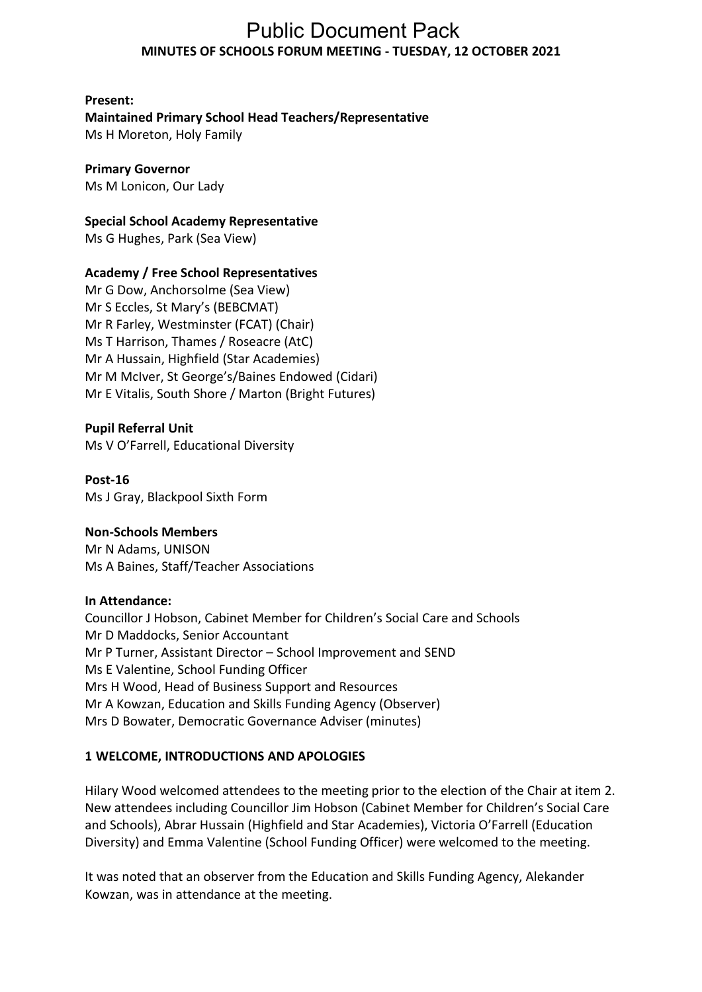# **MINUTES OF SCHOOLS FORUM MEETING - TUESDAY, 12 OCTOBER 2021**  Public Document Pack

## **Present:**

# **Maintained Primary School Head Teachers/Representative**

Ms H Moreton, Holy Family

# **Primary Governor**

Ms M Lonicon, Our Lady

# **Special School Academy Representative**

Ms G Hughes, Park (Sea View)

# **Academy / Free School Representatives**

 Ms T Harrison, Thames / Roseacre (AtC) Mr A Hussain, Highfield (Star Academies) Mr M McIver, St George's/Baines Endowed (Cidari) Mr E Vitalis, South Shore / Marton (Bright Futures) Mr G Dow, Anchorsolme (Sea View) Mr S Eccles, St Mary's (BEBCMAT) Mr R Farley, Westminster (FCAT) (Chair)

## **Pupil Referral Unit**

Ms V O'Farrell, Educational Diversity

#### **Post-16**  Ms J Gray, Blackpool Sixth Form

# **Non-Schools Members**

Mr N Adams, UNISON Ms A Baines, Staff/Teacher Associations

## **In Attendance:**

Councillor J Hobson, Cabinet Member for Children's Social Care and Schools Mr P Turner, Assistant Director – School Improvement and SEND Mrs H Wood, Head of Business Support and Resources Mr A Kowzan, Education and Skills Funding Agency (Observer) Mrs D Bowater, Democratic Governance Adviser (minutes) Mr D Maddocks, Senior Accountant Ms E Valentine, School Funding Officer

## **1 WELCOME, INTRODUCTIONS AND APOLOGIES**

 Hilary Wood welcomed attendees to the meeting prior to the election of the Chair at item 2. New attendees including Councillor Jim Hobson (Cabinet Member for Children's Social Care and Schools), Abrar Hussain (Highfield and Star Academies), Victoria O'Farrell (Education Diversity) and Emma Valentine (School Funding Officer) were welcomed to the meeting.

 It was noted that an observer from the Education and Skills Funding Agency, Alekander Kowzan, was in attendance at the meeting.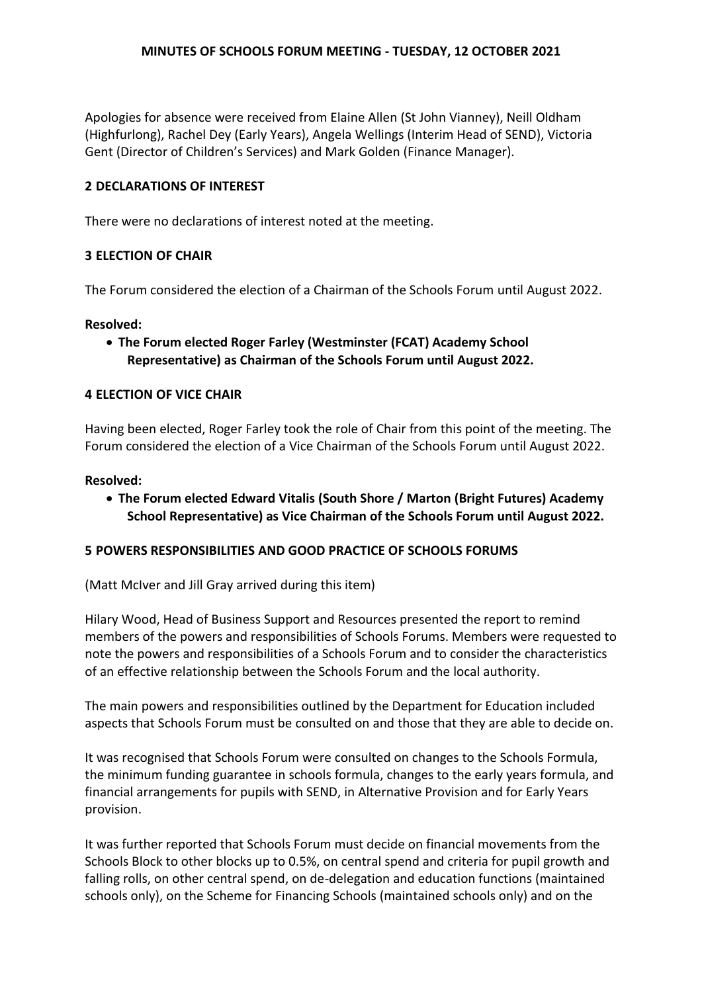Apologies for absence were received from Elaine Allen (St John Vianney), Neill Oldham (Highfurlong), Rachel Dey (Early Years), Angela Wellings (Interim Head of SEND), Victoria Gent (Director of Children's Services) and Mark Golden (Finance Manager).

### **2 DECLARATIONS OF INTEREST**

There were no declarations of interest noted at the meeting.

## **3 ELECTION OF CHAIR**

The Forum considered the election of a Chairman of the Schools Forum until August 2022.

#### **Resolved:**

 **The Forum elected Roger Farley (Westminster (FCAT) Academy School Representative) as Chairman of the Schools Forum until August 2022.** 

### **4 ELECTION OF VICE CHAIR**

 Having been elected, Roger Farley took the role of Chair from this point of the meeting. The Forum considered the election of a Vice Chairman of the Schools Forum until August 2022.

#### **Resolved:**

 **The Forum elected Edward Vitalis (South Shore / Marton (Bright Futures) Academy School Representative) as Vice Chairman of the Schools Forum until August 2022.** 

### **5 POWERS RESPONSIBILITIES AND GOOD PRACTICE OF SCHOOLS FORUMS**

(Matt McIver and Jill Gray arrived during this item)

 Hilary Wood, Head of Business Support and Resources presented the report to remind members of the powers and responsibilities of Schools Forums. Members were requested to note the powers and responsibilities of a Schools Forum and to consider the characteristics of an effective relationship between the Schools Forum and the local authority.

 The main powers and responsibilities outlined by the Department for Education included aspects that Schools Forum must be consulted on and those that they are able to decide on.

 It was recognised that Schools Forum were consulted on changes to the Schools Formula, the minimum funding guarantee in schools formula, changes to the early years formula, and financial arrangements for pupils with SEND, in Alternative Provision and for Early Years provision.

 It was further reported that Schools Forum must decide on financial movements from the Schools Block to other blocks up to 0.5%, on central spend and criteria for pupil growth and falling rolls, on other central spend, on de-delegation and education functions (maintained schools only), on the Scheme for Financing Schools (maintained schools only) and on the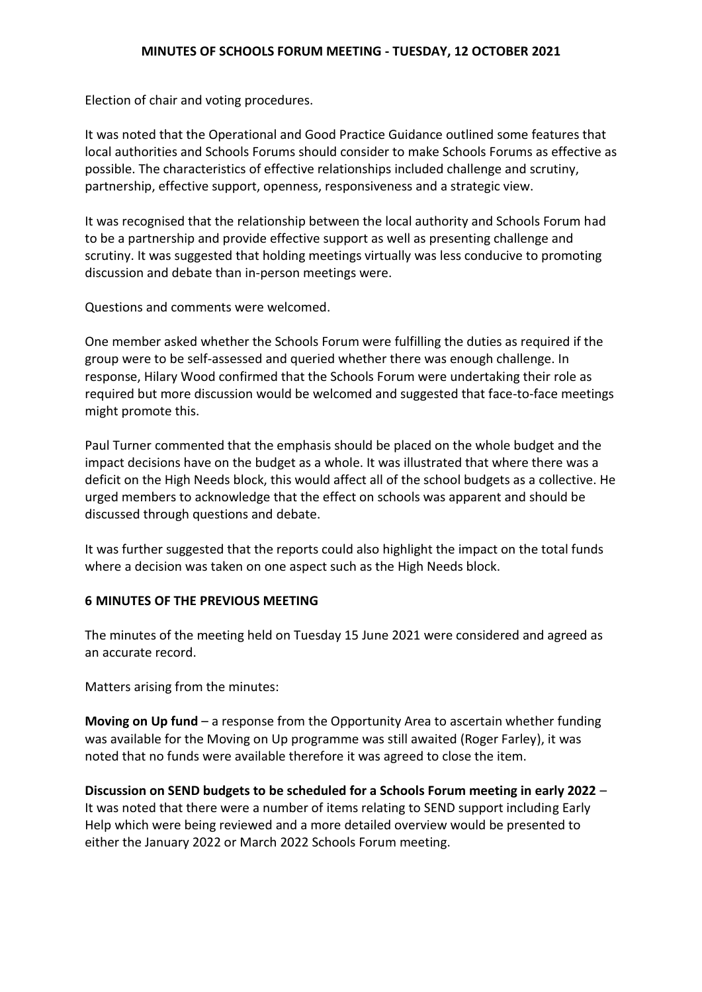Election of chair and voting procedures.

 It was noted that the Operational and Good Practice Guidance outlined some features that local authorities and Schools Forums should consider to make Schools Forums as effective as possible. The characteristics of effective relationships included challenge and scrutiny, partnership, effective support, openness, responsiveness and a strategic view.

 It was recognised that the relationship between the local authority and Schools Forum had to be a partnership and provide effective support as well as presenting challenge and scrutiny. It was suggested that holding meetings virtually was less conducive to promoting discussion and debate than in-person meetings were.

Questions and comments were welcomed.

 One member asked whether the Schools Forum were fulfilling the duties as required if the group were to be self-assessed and queried whether there was enough challenge. In response, Hilary Wood confirmed that the Schools Forum were undertaking their role as required but more discussion would be welcomed and suggested that face-to-face meetings might promote this.

 Paul Turner commented that the emphasis should be placed on the whole budget and the impact decisions have on the budget as a whole. It was illustrated that where there was a deficit on the High Needs block, this would affect all of the school budgets as a collective. He urged members to acknowledge that the effect on schools was apparent and should be discussed through questions and debate.

 It was further suggested that the reports could also highlight the impact on the total funds where a decision was taken on one aspect such as the High Needs block.

### **6 MINUTES OF THE PREVIOUS MEETING**

 The minutes of the meeting held on Tuesday 15 June 2021 were considered and agreed as an accurate record.

Matters arising from the minutes:

 **Moving on Up fund** – a response from the Opportunity Area to ascertain whether funding was available for the Moving on Up programme was still awaited (Roger Farley), it was noted that no funds were available therefore it was agreed to close the item.

 **Discussion on SEND budgets to be scheduled for a Schools Forum meeting in early 2022** – It was noted that there were a number of items relating to SEND support including Early Help which were being reviewed and a more detailed overview would be presented to either the January 2022 or March 2022 Schools Forum meeting.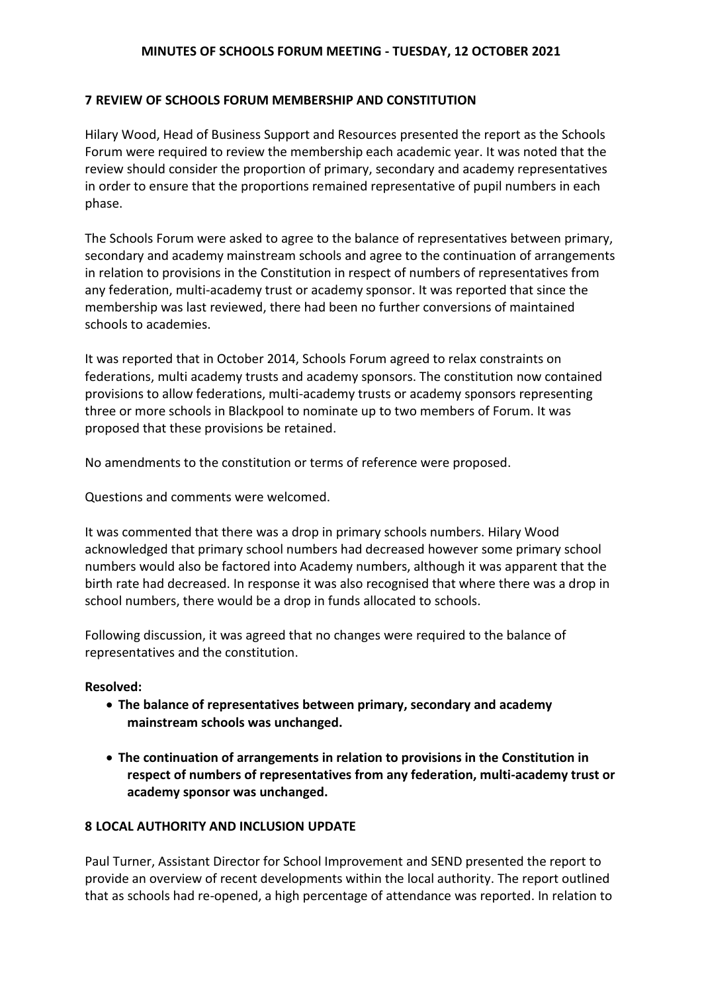## **7 REVIEW OF SCHOOLS FORUM MEMBERSHIP AND CONSTITUTION**

 Hilary Wood, Head of Business Support and Resources presented the report as the Schools Forum were required to review the membership each academic year. It was noted that the in order to ensure that the proportions remained representative of pupil numbers in each review should consider the proportion of primary, secondary and academy representatives phase.

 The Schools Forum were asked to agree to the balance of representatives between primary, secondary and academy mainstream schools and agree to the continuation of arrangements in relation to provisions in the Constitution in respect of numbers of representatives from any federation, multi-academy trust or academy sponsor. It was reported that since the membership was last reviewed, there had been no further conversions of maintained schools to academies.

 It was reported that in October 2014, Schools Forum agreed to relax constraints on federations, multi academy trusts and academy sponsors. The constitution now contained provisions to allow federations, multi-academy trusts or academy sponsors representing three or more schools in Blackpool to nominate up to two members of Forum. It was proposed that these provisions be retained.

No amendments to the constitution or terms of reference were proposed.

Questions and comments were welcomed.

 It was commented that there was a drop in primary schools numbers. Hilary Wood acknowledged that primary school numbers had decreased however some primary school numbers would also be factored into Academy numbers, although it was apparent that the birth rate had decreased. In response it was also recognised that where there was a drop in school numbers, there would be a drop in funds allocated to schools.

 Following discussion, it was agreed that no changes were required to the balance of representatives and the constitution.

### **Resolved:**

- **The balance of representatives between primary, secondary and academy mainstream schools was unchanged.**
- **The continuation of arrangements in relation to provisions in the Constitution in respect of numbers of representatives from any federation, multi-academy trust or academy sponsor was unchanged.**

### **8 LOCAL AUTHORITY AND INCLUSION UPDATE**

 Paul Turner, Assistant Director for School Improvement and SEND presented the report to provide an overview of recent developments within the local authority. The report outlined that as schools had re-opened, a high percentage of attendance was reported. In relation to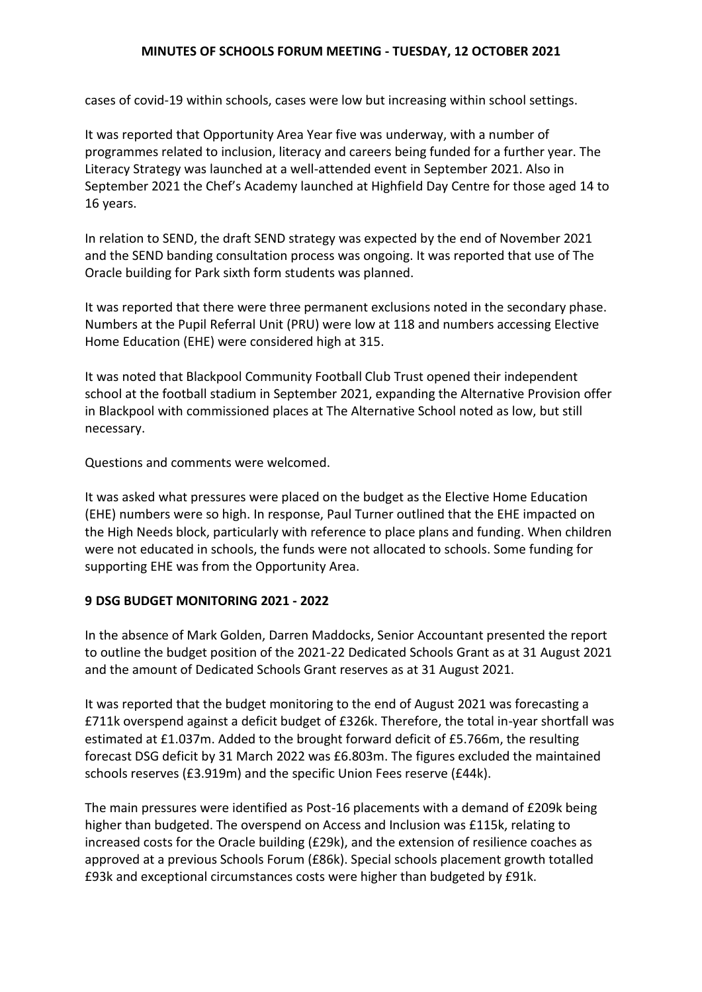cases of covid-19 within schools, cases were low but increasing within school settings.

 It was reported that Opportunity Area Year five was underway, with a number of programmes related to inclusion, literacy and careers being funded for a further year. The Literacy Strategy was launched at a well-attended event in September 2021. Also in September 2021 the Chef's Academy launched at Highfield Day Centre for those aged 14 to 16 years.

 In relation to SEND, the draft SEND strategy was expected by the end of November 2021 and the SEND banding consultation process was ongoing. It was reported that use of The Oracle building for Park sixth form students was planned.

 It was reported that there were three permanent exclusions noted in the secondary phase. Numbers at the Pupil Referral Unit (PRU) were low at 118 and numbers accessing Elective Home Education (EHE) were considered high at 315.

 It was noted that Blackpool Community Football Club Trust opened their independent school at the football stadium in September 2021, expanding the Alternative Provision offer in Blackpool with commissioned places at The Alternative School noted as low, but still necessary.

Questions and comments were welcomed.

 It was asked what pressures were placed on the budget as the Elective Home Education (EHE) numbers were so high. In response, Paul Turner outlined that the EHE impacted on the High Needs block, particularly with reference to place plans and funding. When children were not educated in schools, the funds were not allocated to schools. Some funding for supporting EHE was from the Opportunity Area.

#### **9 DSG BUDGET MONITORING 2021 - 2022**

 In the absence of Mark Golden, Darren Maddocks, Senior Accountant presented the report to outline the budget position of the 2021-22 Dedicated Schools Grant as at 31 August 2021 and the amount of Dedicated Schools Grant reserves as at 31 August 2021.

 It was reported that the budget monitoring to the end of August 2021 was forecasting a £711k overspend against a deficit budget of £326k. Therefore, the total in-year shortfall was estimated at £1.037m. Added to the brought forward deficit of £5.766m, the resulting forecast DSG deficit by 31 March 2022 was £6.803m. The figures excluded the maintained schools reserves (£3.919m) and the specific Union Fees reserve (£44k).

 The main pressures were identified as Post-16 placements with a demand of £209k being higher than budgeted. The overspend on Access and Inclusion was £115k, relating to increased costs for the Oracle building (£29k), and the extension of resilience coaches as approved at a previous Schools Forum (£86k). Special schools placement growth totalled £93k and exceptional circumstances costs were higher than budgeted by £91k.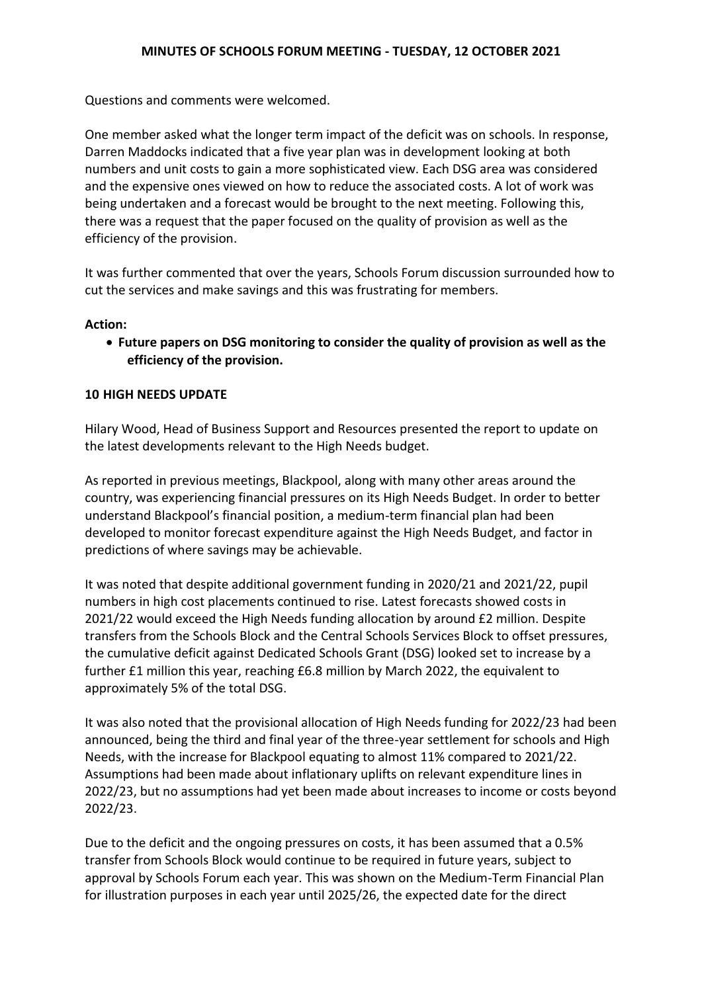Questions and comments were welcomed.

 One member asked what the longer term impact of the deficit was on schools. In response, Darren Maddocks indicated that a five year plan was in development looking at both numbers and unit costs to gain a more sophisticated view. Each DSG area was considered and the expensive ones viewed on how to reduce the associated costs. A lot of work was being undertaken and a forecast would be brought to the next meeting. Following this, there was a request that the paper focused on the quality of provision as well as the efficiency of the provision.

 It was further commented that over the years, Schools Forum discussion surrounded how to cut the services and make savings and this was frustrating for members.

#### **Action:**

 **Future papers on DSG monitoring to consider the quality of provision as well as the efficiency of the provision.** 

#### **10 HIGH NEEDS UPDATE**

 Hilary Wood, Head of Business Support and Resources presented the report to update on the latest developments relevant to the High Needs budget.

 As reported in previous meetings, Blackpool, along with many other areas around the country, was experiencing financial pressures on its High Needs Budget. In order to better understand Blackpool's financial position, a medium-term financial plan had been developed to monitor forecast expenditure against the High Needs Budget, and factor in predictions of where savings may be achievable.

 It was noted that despite additional government funding in 2020/21 and 2021/22, pupil numbers in high cost placements continued to rise. Latest forecasts showed costs in 2021/22 would exceed the High Needs funding allocation by around £2 million. Despite transfers from the Schools Block and the Central Schools Services Block to offset pressures, the cumulative deficit against Dedicated Schools Grant (DSG) looked set to increase by a further £1 million this year, reaching £6.8 million by March 2022, the equivalent to approximately 5% of the total DSG.

 It was also noted that the provisional allocation of High Needs funding for 2022/23 had been announced, being the third and final year of the three-year settlement for schools and High Needs, with the increase for Blackpool equating to almost 11% compared to 2021/22. Assumptions had been made about inflationary uplifts on relevant expenditure lines in 2022/23, but no assumptions had yet been made about increases to income or costs beyond 2022/23.

 Due to the deficit and the ongoing pressures on costs, it has been assumed that a 0.5% transfer from Schools Block would continue to be required in future years, subject to approval by Schools Forum each year. This was shown on the Medium-Term Financial Plan for illustration purposes in each year until 2025/26, the expected date for the direct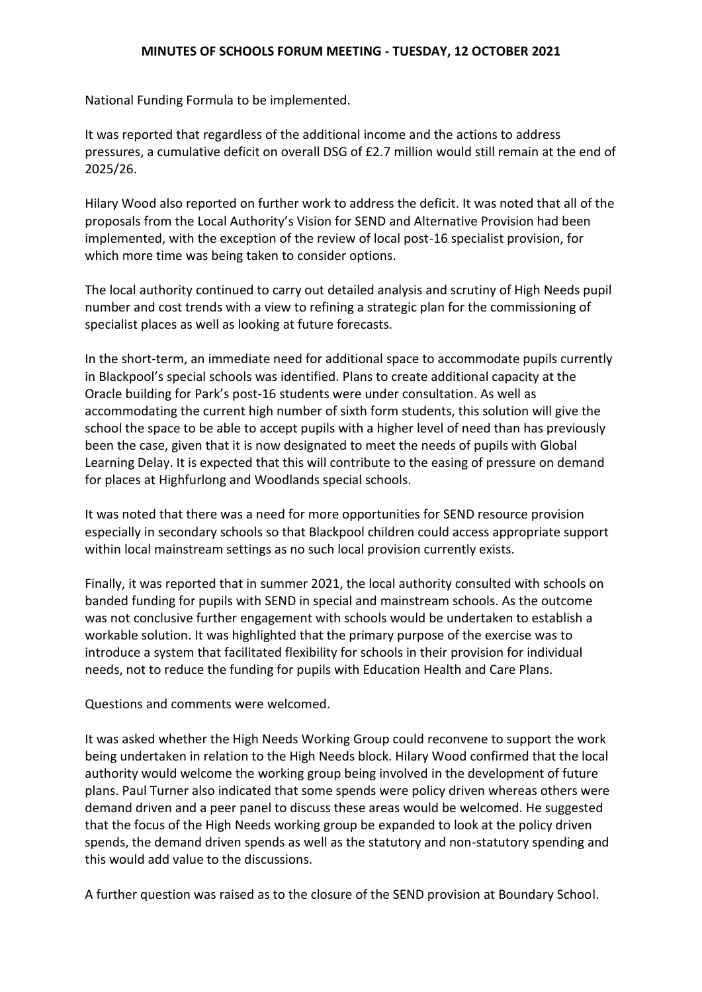National Funding Formula to be implemented.

 It was reported that regardless of the additional income and the actions to address pressures, a cumulative deficit on overall DSG of £2.7 million would still remain at the end of 2025/26.

 Hilary Wood also reported on further work to address the deficit. It was noted that all of the proposals from the Local Authority's Vision for SEND and Alternative Provision had been implemented, with the exception of the review of local post-16 specialist provision, for which more time was being taken to consider options.

 The local authority continued to carry out detailed analysis and scrutiny of High Needs pupil number and cost trends with a view to refining a strategic plan for the commissioning of specialist places as well as looking at future forecasts.

 In the short-term, an immediate need for additional space to accommodate pupils currently in Blackpool's special schools was identified. Plans to create additional capacity at the Oracle building for Park's post-16 students were under consultation. As well as accommodating the current high number of sixth form students, this solution will give the school the space to be able to accept pupils with a higher level of need than has previously been the case, given that it is now designated to meet the needs of pupils with Global Learning Delay. It is expected that this will contribute to the easing of pressure on demand for places at Highfurlong and Woodlands special schools.

 It was noted that there was a need for more opportunities for SEND resource provision especially in secondary schools so that Blackpool children could access appropriate support within local mainstream settings as no such local provision currently exists.

 Finally, it was reported that in summer 2021, the local authority consulted with schools on banded funding for pupils with SEND in special and mainstream schools. As the outcome was not conclusive further engagement with schools would be undertaken to establish a workable solution. It was highlighted that the primary purpose of the exercise was to introduce a system that facilitated flexibility for schools in their provision for individual needs, not to reduce the funding for pupils with Education Health and Care Plans.

Questions and comments were welcomed.

 It was asked whether the High Needs Working Group could reconvene to support the work being undertaken in relation to the High Needs block. Hilary Wood confirmed that the local authority would welcome the working group being involved in the development of future plans. Paul Turner also indicated that some spends were policy driven whereas others were demand driven and a peer panel to discuss these areas would be welcomed. He suggested that the focus of the High Needs working group be expanded to look at the policy driven spends, the demand driven spends as well as the statutory and non-statutory spending and this would add value to the discussions.

A further question was raised as to the closure of the SEND provision at Boundary School.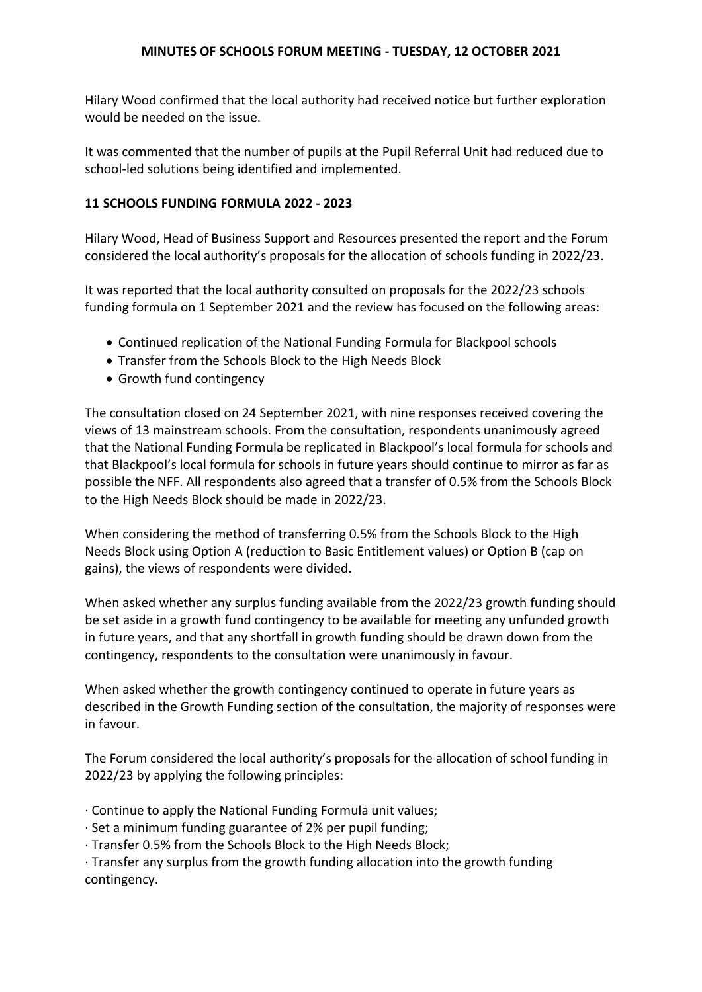Hilary Wood confirmed that the local authority had received notice but further exploration would be needed on the issue.

 It was commented that the number of pupils at the Pupil Referral Unit had reduced due to school-led solutions being identified and implemented.

## **11 SCHOOLS FUNDING FORMULA 2022 - 2023**

 Hilary Wood, Head of Business Support and Resources presented the report and the Forum considered the local authority's proposals for the allocation of schools funding in 2022/23.

 It was reported that the local authority consulted on proposals for the 2022/23 schools funding formula on 1 September 2021 and the review has focused on the following areas:

- Continued replication of the National Funding Formula for Blackpool schools
- Transfer from the Schools Block to the High Needs Block
- Growth fund contingency

 The consultation closed on 24 September 2021, with nine responses received covering the views of 13 mainstream schools. From the consultation, respondents unanimously agreed that the National Funding Formula be replicated in Blackpool's local formula for schools and that Blackpool's local formula for schools in future years should continue to mirror as far as possible the NFF. All respondents also agreed that a transfer of 0.5% from the Schools Block to the High Needs Block should be made in 2022/23.

 When considering the method of transferring 0.5% from the Schools Block to the High Needs Block using Option A (reduction to Basic Entitlement values) or Option B (cap on gains), the views of respondents were divided.

 When asked whether any surplus funding available from the 2022/23 growth funding should be set aside in a growth fund contingency to be available for meeting any unfunded growth in future years, and that any shortfall in growth funding should be drawn down from the contingency, respondents to the consultation were unanimously in favour.

 When asked whether the growth contingency continued to operate in future years as described in the Growth Funding section of the consultation, the majority of responses were in favour.

 The Forum considered the local authority's proposals for the allocation of school funding in 2022/23 by applying the following principles:

- · Continue to apply the National Funding Formula unit values;
- · Set a minimum funding guarantee of 2% per pupil funding;
- · Transfer 0.5% from the Schools Block to the High Needs Block;

 · Transfer any surplus from the growth funding allocation into the growth funding contingency.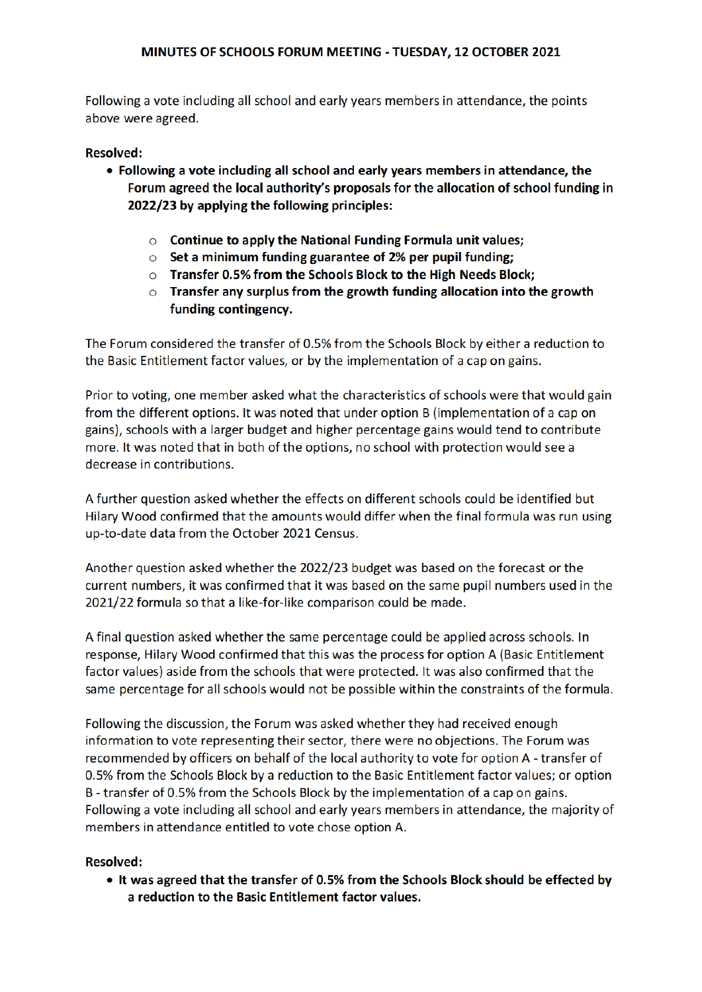above were agreed. Following a vote including all school and early years members in attendance, the points

## Resolved:

- Following a vote including all school and early years members in attendance, the Forum agreed the local authority's proposals for the allocation of school funding in 2022/23 by applying the following principles:
	- Continue to apply the National Funding Formula unit values:
	- Set a minimum funding guarantee of 2% per pupil funding:
	- Transfer 0.5% from the Schools Block to the High Needs Block:
	- Transfer any surplus from the growth funding allocation into the growth funding contingency.

The Forum considered the transfer of 0.5% from the Schools Block by either a reduction to the Basic Entitlement factor values, or by the implementation of a cap on gains.

Prior to voting, one member asked what the characteristics of schools were that would gain from the different options. It was noted that under option B (implementation of a cap on gains), schools with a larger budget and higher percentage gains would tend to contribute more. It was noted that in both of the options, no school with protection would see a decrease in contributions.

A further question asked whether the effects on different schools could be identified but Hilary Wood confirmed that the amounts would differ when the final formula was run using up-to-date data from the October 2021 Census.

Another question asked whether the 2022/23 budget was based on the forecast or the current numbers, it was confirmed that it was based on the same pupil numbers used in the 2021/22 formula so that a like-for-like comparison could be made

A final question asked whether the same percentage could be applied across schools. In response. Hilary Wood confirmed that this was the process for option A (Basic Entitlement factor values) aside from the schools that were protected. It was also confirmed that the same percentage for all schools would not be possible within the constraints of the formula.

Following the discussion, the Forum was asked whether they had received enough information to vote representing their sector, there were no obiections. The Forum was recommended by officers on behalf of the local authority to yote for option A - transfer of 0.5% from the Schools Block by a reduction to the Basic Entitlement factor values: or option B - transfer of 0.5% from the Schools Block by the implementation of a cap on gains. members in attendance entitled to vote chose option A Following a vote including all school and early years members in attendance, the majority of

### Resolved:

It was agreed that the transfer of 0.5% from the Schools Block should be effected by a reduction to the Basic Entitlement factor values.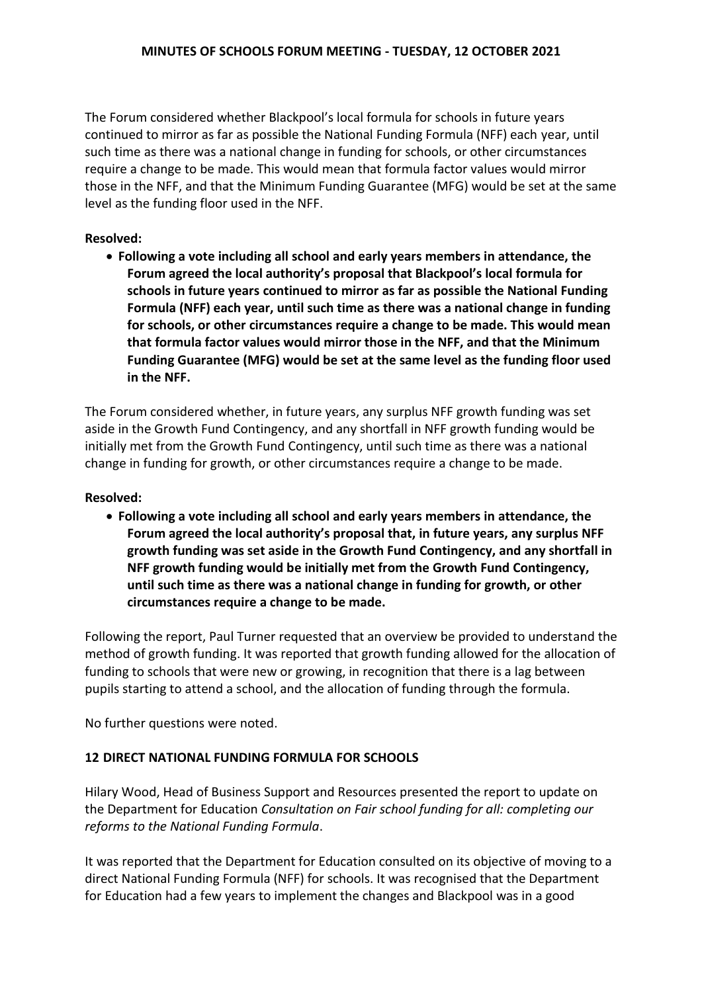The Forum considered whether Blackpool's local formula for schools in future years continued to mirror as far as possible the National Funding Formula (NFF) each year, until such time as there was a national change in funding for schools, or other circumstances require a change to be made. This would mean that formula factor values would mirror those in the NFF, and that the Minimum Funding Guarantee (MFG) would be set at the same level as the funding floor used in the NFF.

## **Resolved:**

 **Following a vote including all school and early years members in attendance, the Forum agreed the local authority's proposal that Blackpool's local formula for schools in future years continued to mirror as far as possible the National Funding Formula (NFF) each year, until such time as there was a national change in funding for schools, or other circumstances require a change to be made. This would mean that formula factor values would mirror those in the NFF, and that the Minimum Funding Guarantee (MFG) would be set at the same level as the funding floor used in the NFF.** 

 The Forum considered whether, in future years, any surplus NFF growth funding was set aside in the Growth Fund Contingency, and any shortfall in NFF growth funding would be initially met from the Growth Fund Contingency, until such time as there was a national change in funding for growth, or other circumstances require a change to be made.

### **Resolved:**

 **Following a vote including all school and early years members in attendance, the Forum agreed the local authority's proposal that, in future years, any surplus NFF growth funding was set aside in the Growth Fund Contingency, and any shortfall in NFF growth funding would be initially met from the Growth Fund Contingency, until such time as there was a national change in funding for growth, or other circumstances require a change to be made.** 

 Following the report, Paul Turner requested that an overview be provided to understand the method of growth funding. It was reported that growth funding allowed for the allocation of funding to schools that were new or growing, in recognition that there is a lag between pupils starting to attend a school, and the allocation of funding through the formula.

No further questions were noted.

## **12 DIRECT NATIONAL FUNDING FORMULA FOR SCHOOLS**

 Hilary Wood, Head of Business Support and Resources presented the report to update on  the Department for Education *Consultation on Fair school funding for all: completing our reforms to the National Funding Formula*.

 It was reported that the Department for Education consulted on its objective of moving to a direct National Funding Formula (NFF) for schools. It was recognised that the Department for Education had a few years to implement the changes and Blackpool was in a good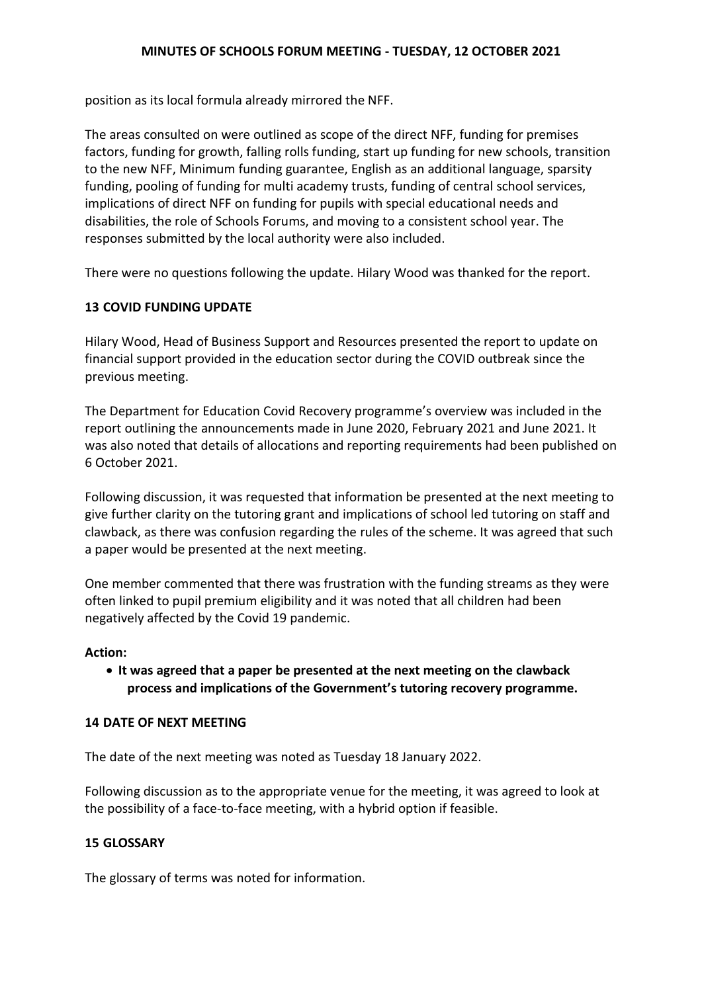position as its local formula already mirrored the NFF.

 The areas consulted on were outlined as scope of the direct NFF, funding for premises factors, funding for growth, falling rolls funding, start up funding for new schools, transition funding, pooling of funding for multi academy trusts, funding of central school services, implications of direct NFF on funding for pupils with special educational needs and disabilities, the role of Schools Forums, and moving to a consistent school year. The responses submitted by the local authority were also included. to the new NFF, Minimum funding guarantee, English as an additional language, sparsity

There were no questions following the update. Hilary Wood was thanked for the report.

## **13 COVID FUNDING UPDATE**

 Hilary Wood, Head of Business Support and Resources presented the report to update on financial support provided in the education sector during the COVID outbreak since the previous meeting.

The Department for Education Covid Recovery programme's overview was included in the report outlining the announcements made in June 2020, February 2021 and June 2021. It was also noted that details of allocations and reporting requirements had been published on 6 October 2021.

 Following discussion, it was requested that information be presented at the next meeting to give further clarity on the tutoring grant and implications of school led tutoring on staff and clawback, as there was confusion regarding the rules of the scheme. It was agreed that such a paper would be presented at the next meeting.

 One member commented that there was frustration with the funding streams as they were often linked to pupil premium eligibility and it was noted that all children had been negatively affected by the Covid 19 pandemic.

### **Action:**

 **It was agreed that a paper be presented at the next meeting on the clawback process and implications of the Government's tutoring recovery programme.** 

### **14 DATE OF NEXT MEETING**

The date of the next meeting was noted as Tuesday 18 January 2022.

 Following discussion as to the appropriate venue for the meeting, it was agreed to look at the possibility of a face-to-face meeting, with a hybrid option if feasible.

### **15 GLOSSARY**

The glossary of terms was noted for information.